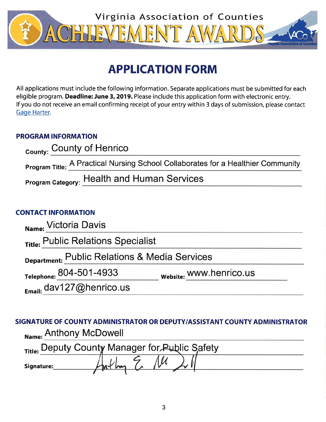

# **APPLICATION FORM**

All applications must include the following information. Separate applications must be submitted for each eligible program. Deadline: June 3, 2019. Please include this application form with electronic entry. If you do not receive an email confirming receipt of your entry within 3 days of submission, please contact Gage Harter.

# **PROGRAM INFORMATION**

| County: County of Henrico                                                        |
|----------------------------------------------------------------------------------|
| Program Title: A Practical Nursing School Collaborates for a Healthier Community |
| <b>Program Category: Health and Human Services</b>                               |

# **CONTACT INFORMATION**

| Name: Victoria Davis                          |                         |  |
|-----------------------------------------------|-------------------------|--|
| Title: Public Relations Specialist            |                         |  |
| Department: Public Relations & Media Services |                         |  |
| Telephone: 804-501-4933                       | website: WWW.henrico.us |  |
| Email: dav127@henrico.us                      |                         |  |

SIGNATURE OF COUNTY ADMINISTRATOR OR DEPUTY/ASSISTANT COUNTY ADMINISTRATOR Name: Anthony McDowell

|            | Title: Deputy County Manager for Public Safety |  |
|------------|------------------------------------------------|--|
| Signature: |                                                |  |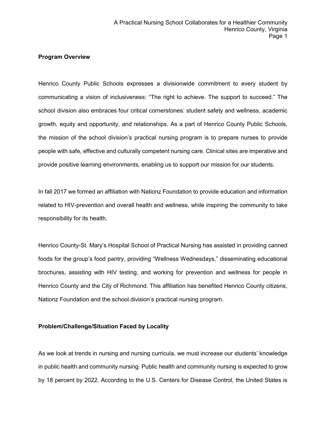## **Program Overview**

Henrico County Public Schools expresses a divisionwide commitment to every student by communicating a vision of inclusiveness: "The right to achieve. The support to succeed." The school division also embraces four critical cornerstones: student safety and wellness, academic growth, equity and opportunity, and relationships. As a part of Henrico County Public Schools, the mission of the school division's practical nursing program is to prepare nurses to provide people with safe, effective and culturally competent nursing care. Clinical sites are imperative and provide positive learning environments, enabling us to support our mission for our students.

In fall 2017 we formed an affiliation with Nationz Foundation to provide education and information related to HIV-prevention and overall health and wellness, while inspiring the community to take responsibility for its health.

Henrico County-St. Mary's Hospital School of Practical Nursing has assisted in providing canned foods for the group's food pantry, providing "Wellness Wednesdays," disseminating educational brochures, assisting with HIV testing, and working for prevention and wellness for people in Henrico County and the City of Richmond. This affiliation has benefited Henrico County citizens, Nationz Foundation and the school division's practical nursing program.

# **Problem/Challenge/Situation Faced by Locality**

As we look at trends in nursing and nursing curricula, we must increase our students' knowledge in public health and community nursing. Public health and community nursing is expected to grow by 18 percent by 2022. According to the U.S. Centers for Disease Control, the United States is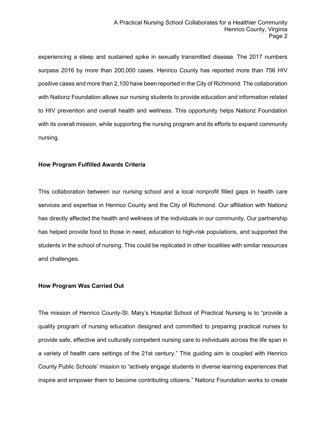experiencing a steep and sustained spike in sexually transmitted disease. The 2017 numbers surpass 2016 by more than 200,000 cases. Henrico County has reported more than 756 HIV positive cases and more than 2,100 have been reported in the City of Richmond. The collaboration with Nationz Foundation allows our nursing students to provide education and information related to HIV prevention and overall health and wellness. This opportunity helps Nationz Foundation with its overall mission, while supporting the nursing program and its efforts to expand community nursing.

## **How Program Fulfilled Awards Criteria**

This collaboration between our nursing school and a local nonprofit filled gaps in health care services and expertise in Henrico County and the City of Richmond. Our affiliation with Nationz has directly affected the health and wellness of the individuals in our community. Our partnership has helped provide food to those in need, education to high-risk populations, and supported the students in the school of nursing. This could be replicated in other localities with similar resources and challenges.

#### **How Program Was Carried Out**

The mission of Henrico County-St. Mary's Hospital School of Practical Nursing is to "provide a quality program of nursing education designed and committed to preparing practical nurses to provide safe, effective and culturally competent nursing care to individuals across the life span in a variety of health care settings of the 21st century." This guiding aim is coupled with Henrico County Public Schools' mission to "actively engage students in diverse learning experiences that inspire and empower them to become contributing citizens." Nationz Foundation works to create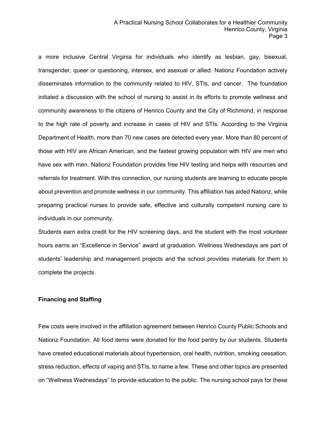a more inclusive Central Virginia for individuals who identify as lesbian, gay, bisexual, transgender, queer or questioning, intersex, and asexual or allied. Nationz Foundation actively disseminates information to the community related to HIV, STIs, and cancer. The foundation initiated a discussion with the school of nursing to assist in its efforts to promote wellness and community awareness to the citizens of Henrico County and the City of Richmond, in response to the high rate of poverty and increase in cases of HIV and STIs. According to the Virginia Department of Health, more than 70 new cases are detected every year. More than 80 percent of those with HIV are African American, and the fastest growing population with HIV are men who have sex with men. Nationz Foundation provides free HIV testing and helps with resources and referrals for treatment. With this connection, our nursing students are learning to educate people about prevention and promote wellness in our community. This affiliation has aided Nationz, while preparing practical nurses to provide safe, effective and culturally competent nursing care to individuals in our community.

Students earn extra credit for the HIV screening days, and the student with the most volunteer hours earns an "Excellence in Service" award at graduation. Wellness Wednesdays are part of students' leadership and management projects and the school provides materials for them to complete the projects.

#### **Financing and Staffing**

Few costs were involved in the affiliation agreement between Henrico County Public Schools and Nationz Foundation. All food items were donated for the food pantry by our students. Students have created educational materials about hypertension, oral health, nutrition, smoking cessation, stress reduction, effects of vaping and STIs, to name a few. These and other topics are presented on "Wellness Wednesdays" to provide education to the public. The nursing school pays for these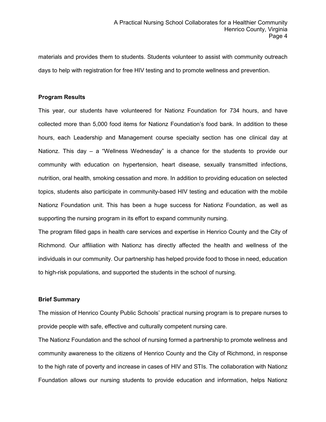materials and provides them to students. Students volunteer to assist with community outreach days to help with registration for free HIV testing and to promote wellness and prevention.

### **Program Results**

This year, our students have volunteered for Nationz Foundation for 734 hours, and have collected more than 5,000 food items for Nationz Foundation's food bank. In addition to these hours, each Leadership and Management course specialty section has one clinical day at Nationz. This day  $-$  a "Wellness Wednesday" is a chance for the students to provide our community with education on hypertension, heart disease, sexually transmitted infections, nutrition, oral health, smoking cessation and more. In addition to providing education on selected topics, students also participate in community-based HIV testing and education with the mobile Nationz Foundation unit. This has been a huge success for Nationz Foundation, as well as supporting the nursing program in its effort to expand community nursing.

The program filled gaps in health care services and expertise in Henrico County and the City of Richmond. Our affiliation with Nationz has directly affected the health and wellness of the individuals in our community. Our partnership has helped provide food to those in need, education to high-risk populations, and supported the students in the school of nursing.

#### **Brief Summary**

The mission of Henrico County Public Schools' practical nursing program is to prepare nurses to provide people with safe, effective and culturally competent nursing care.

The Nationz Foundation and the school of nursing formed a partnership to promote wellness and community awareness to the citizens of Henrico County and the City of Richmond, in response to the high rate of poverty and increase in cases of HIV and STIs. The collaboration with Nationz Foundation allows our nursing students to provide education and information, helps Nationz